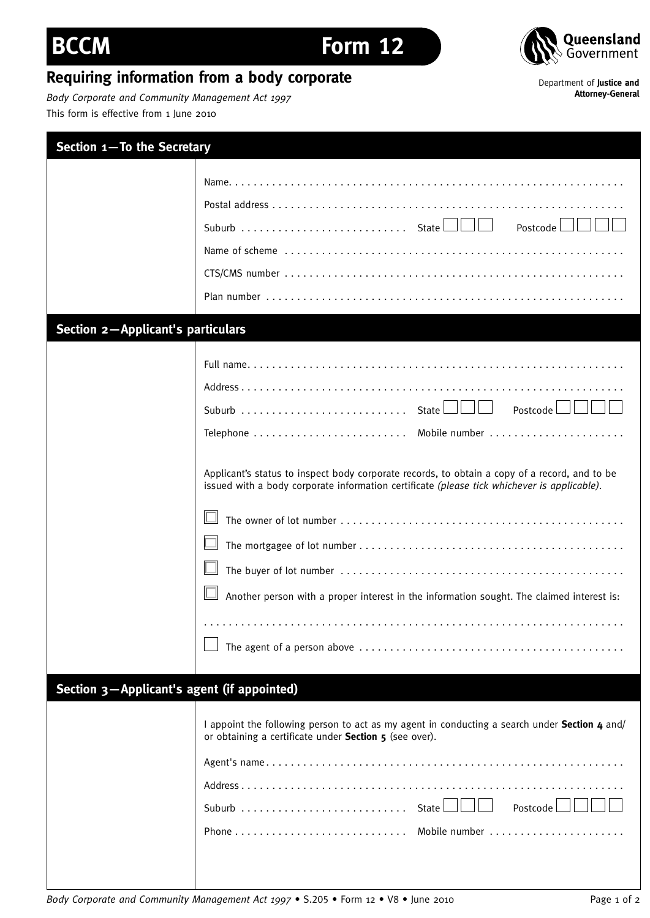## *Body Corporate and Community Management Act 1997* This form is effective from 1 June 2010 **Section 1—To the Secretary**

**Requiring information from a body corporate**

|                                            | Postcode                                                                                                                                                                                                                                                                                                     |
|--------------------------------------------|--------------------------------------------------------------------------------------------------------------------------------------------------------------------------------------------------------------------------------------------------------------------------------------------------------------|
|                                            |                                                                                                                                                                                                                                                                                                              |
| <b>Section 2-Applicant's particulars</b>   | Postcode $\Box$<br>Applicant's status to inspect body corporate records, to obtain a copy of a record, and to be<br>issued with a body corporate information certificate (please tick whichever is applicable).<br>Another person with a proper interest in the information sought. The claimed interest is: |
|                                            |                                                                                                                                                                                                                                                                                                              |
| Section 3-Applicant's agent (if appointed) | I appoint the following person to act as my agent in conducting a search under Section 4 and/<br>or obtaining a certificate under Section 5 (see over).<br>Postcode                                                                                                                                          |

Department of **Justice and Attorney-General**